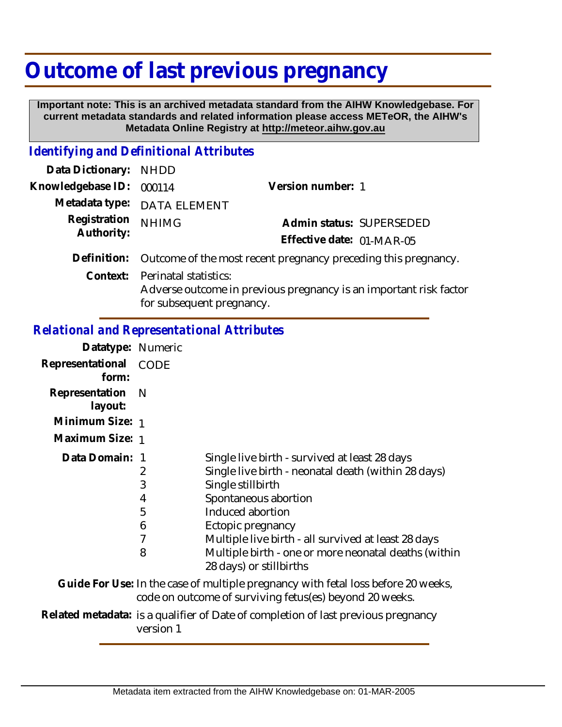## **Outcome of last previous pregnancy**

 **Important note: This is an archived metadata standard from the AIHW Knowledgebase. For current metadata standards and related information please access METeOR, the AIHW's Metadata Online Registry at http://meteor.aihw.gov.au**

## *Identifying and Definitional Attributes*

| Data Dictionary: NHDD      |                                                                                                                         |                           |
|----------------------------|-------------------------------------------------------------------------------------------------------------------------|---------------------------|
| Knowledgebase ID:          | 000114                                                                                                                  | Version number: 1         |
|                            | Metadata type: DATA ELEMENT                                                                                             |                           |
| Registration<br>Authority: | <b>NHIMG</b>                                                                                                            | Admin status: SUPERSEDED  |
|                            |                                                                                                                         | Effective date: 01-MAR-05 |
| Definition:                | Outcome of the most recent pregnancy preceding this pregnancy.                                                          |                           |
| Context:                   | Perinatal statistics:<br>Adverse outcome in previous pregnancy is an important risk factor<br>for subsequent pregnancy. |                           |

## *Relational and Representational Attributes*

| Datatype: Numeric         |                                                                                                |                                                                                                                                                                                                                                                                                                                                      |
|---------------------------|------------------------------------------------------------------------------------------------|--------------------------------------------------------------------------------------------------------------------------------------------------------------------------------------------------------------------------------------------------------------------------------------------------------------------------------------|
| Representational<br>form: | CODE                                                                                           |                                                                                                                                                                                                                                                                                                                                      |
| Representation<br>layout: | - N                                                                                            |                                                                                                                                                                                                                                                                                                                                      |
| Minimum Size: 1           |                                                                                                |                                                                                                                                                                                                                                                                                                                                      |
| Maximum Size: 1           |                                                                                                |                                                                                                                                                                                                                                                                                                                                      |
| Data Domain: 1            | 2<br>3<br>4<br>5<br>6<br>7<br>8                                                                | Single live birth - survived at least 28 days<br>Single live birth - neonatal death (within 28 days)<br>Single stillbirth<br>Spontaneous abortion<br>Induced abortion<br>Ectopic pregnancy<br>Multiple live birth - all survived at least 28 days<br>Multiple birth - one or more neonatal deaths (within<br>28 days) or stillbirths |
|                           |                                                                                                | Guide For Use: In the case of multiple pregnancy with fetal loss before 20 weeks,<br>code on outcome of surviving fetus(es) beyond 20 weeks.                                                                                                                                                                                         |
|                           | Related metadata: is a qualifier of Date of completion of last previous pregnancy<br>version 1 |                                                                                                                                                                                                                                                                                                                                      |